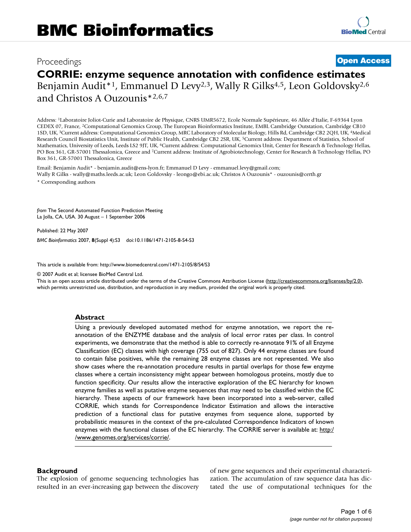# Proceedings **[Open Access](http://www.biomedcentral.com/info/about/charter/)**

# **CORRIE: enzyme sequence annotation with confidence estimates**

Benjamin Audit\*<sup>1</sup>, Emmanuel D Levy<sup>2,3</sup>, Wally R Gilks<sup>4,5</sup>, Leon Goldovsky<sup>2,6</sup> and Christos A Ouzounis\*2,6,7

Address: 1Laboratoire Joliot-Curie and Laboratoire de Physique, CNRS UMR5672, Ecole Normale Supérieure, 46 Allée d'Italie, F-69364 Lyon CEDEX 07, France, 2Computational Genomics Group, The European Bioinformatics Institute, EMBL Cambridge Outstation, Cambridge CB10 1SD, UK, 3Current address: Computational Genomics Group, MRC Laboratory of Molecular Biology, Hills Rd, Cambridge CB2 2QH, UK, 4Medical Research Council Biostatistics Unit, Institute of Public Health, Cambridge CB2 2SR, UK, 5Current address: Department of Statistics, School of Mathematics, University of Leeds, Leeds LS2 9JT, UK, 6Current address: Computational Genomics Unit, Center for Research & Technology Hellas, PO Box 361, GR-57001 Thessalonica, Greece and 7Current address: Institute of Agrobiotechnology, Center for Research & Technology Hellas, PO Box 361, GR-57001 Thessalonica, Greece

Email: Benjamin Audit\* - benjamin.audit@ens-lyon.fr; Emmanuel D Levy - emmanuel.levy@gmail.com; Wally R Gilks - wally@maths.leeds.ac.uk; Leon Goldovsky - leongo@ebi.ac.uk; Christos A Ouzounis\* - ouzounis@certh.gr \* Corresponding authors

*from* The Second Automated Function Prediction Meeting La Jolla, CA, USA. 30 August – 1 September 2006

Published: 22 May 2007

*BMC Bioinformatics* 2007, **8**(Suppl 4):S3 doi:10.1186/1471-2105-8-S4-S3

[This article is available from: http://www.biomedcentral.com/1471-2105/8/S4/S3](http://www.biomedcentral.com/1471-2105/8/S4/S3)

© 2007 Audit et al; licensee BioMed Central Ltd.

This is an open access article distributed under the terms of the Creative Commons Attribution License [\(http://creativecommons.org/licenses/by/2.0\)](http://creativecommons.org/licenses/by/2.0), which permits unrestricted use, distribution, and reproduction in any medium, provided the original work is properly cited.

## **Abstract**

[Using a previously developed automated method for enzyme annotation, we report the re](http://www.genomes.org/services/corrie/)annotation of the ENZYME database and the analysis of local error rates per class. In control experiments, we demonstrate that the method is able to correctly re-annotate 91% of all Enzyme [Classification \(EC\) classes with high coverage \(755 out of 827\). Only 44 enzyme classes are found](http://www.genomes.org/services/corrie/) to contain false positives, while the remaining 28 enzyme classes are not represented. We also show cases where the re-annotation procedure results in partial overlaps for those few enzyme classes where a certain inconsistency might appear between homologous proteins, mostly due to function specificity. Our results allow the interactive exploration of the EC hierarchy for known enzyme families as well as putative enzyme sequences that may need to be classified within the EC hierarchy. These aspects of our framework have been incorporated into a web-server, called CORRIE, which stands for Correspondence Indicator Estimation and allows the interactive prediction of a functional class for putative enzymes from sequence alone, supported by probabilistic measures in the context of the pre-calculated Correspondence Indicators of known [enzymes with the functional classes of the EC hierarchy. The CORRIE server is available at:](http://www.genomes.org/services/corrie/) http:/ /www.genomes.org/services/corrie/.

## **Background**

The explosion of genome sequencing technologies has resulted in an ever-increasing gap between the discovery of new gene sequences and their experimental characterization. The accumulation of raw sequence data has dictated the use of computational techniques for the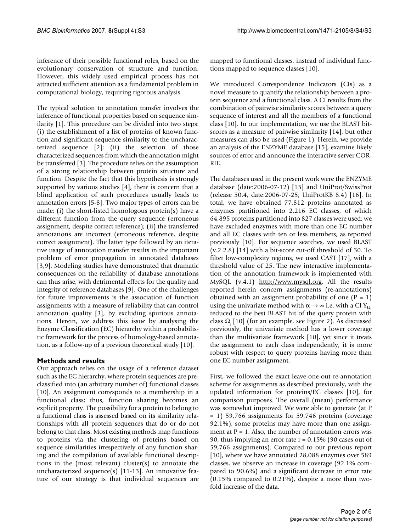inference of their possible functional roles, based on the evolutionary conservation of structure and function. However, this widely used empirical process has not attracted sufficient attention as a fundamental problem in computational biology, requiring rigorous analysis.

The typical solution to annotation transfer involves the inference of functional properties based on sequence similarity [1]. This procedure can be divided into two steps: (i) the establishment of a list of proteins of known function and significant sequence similarity to the uncharacterized sequence [2]; (ii) the selection of those characterized sequences from which the annotation might be transferred [3]. The procedure relies on the assumption of a strong relationship between protein structure and function. Despite the fact that this hypothesis is strongly supported by various studies [4], there is concern that a blind application of such procedures usually leads to annotation errors [5-8]. Two major types of errors can be made: (i) the short-listed homologous protein(s) have a different function from the query sequence (erroneous assignment, despite correct reference); (ii) the transferred annotations are incorrect (erroneous reference, despite correct assignment). The latter type followed by an iterative usage of annotation transfer results in the important problem of error propagation in annotated databases [3,9]. Modeling studies have demonstrated that dramatic consequences on the reliability of database annotations can thus arise, with detrimental effects for the quality and integrity of reference databases [9]. One of the challenges for future improvements is the association of function assignments with a measure of reliability that can control annotation quality [3], by excluding spurious annotations. Herein, we address this issue by analysing the Enzyme Classification (EC) hierarchy within a probabilistic framework for the process of homology-based annotation, as a follow-up of a previous theoretical study [10].

# **Methods and results**

Our approach relies on the usage of a reference dataset such as the EC hierarchy, where protein sequences are preclassified into (an arbitrary number of) functional classes [10]. An assignment corresponds to a membership in a functional class; thus, function sharing becomes an explicit property. The possibility for a protein to belong to a functional class is assessed based on its similarity relationships with all protein sequences that do or do not belong to that class. Most existing methods map functions to proteins via the clustering of proteins based on sequence similarities irrespectively of any function sharing and the compilation of available functional descriptions in the (most relevant) cluster(s) to annotate the uncharacterized sequence(s) [11-13]. An innovative feature of our strategy is that individual sequences are mapped to functional classes, instead of individual functions mapped to sequence classes [10].

We introduced Correspondence Indicators (CIs) as a novel measure to quantify the relationship between a protein sequence and a functional class. A CI results from the combination of pairwise similarity scores between a query sequence of interest and all the members of a functional class [10]. In our implementation, we use the BLAST bitscores as a measure of pairwise similarity [14], but other measures can also be used (Figure 1). Herein, we provide an analysis of the ENZYME database [15], examine likely sources of error and announce the interactive server COR-RIE.

The databases used in the present work were the ENZYME database (date:2006-07-12) [15] and UniProt/SwissProt (release 50.4, date:2006-07-25; UniProtKB 8.4) [16]. In total, we have obtained 77,812 proteins annotated as enzymes partitioned into 2,216 EC classes, of which 64,895 proteins partitioned into 827 classes were used: we have excluded enzymes with more than one EC number and all EC classes with ten or less members, as reported previously [10]. For sequence searches, we used BLAST (v.2.2.8) [14] with a bit-score cut-off threshold of 30. To filter low-complexity regions, we used CAST [17], with a threshold value of 25. The new interactive implementation of the annotation framework is implemented with MySQL (v.4.1) <http://www.mysql.org>. All the results reported herein concern assignments (re-annotations) obtained with an assignment probability of one  $(P = 1)$ using the univariate method with  $\alpha \rightarrow \infty$  i.e. with a CI Y<sub>Qi</sub> reduced to the best BLAST hit of the query protein with class  $\Omega$ <sub>i</sub> [10] (for an example, see Figure 2). As discussed previously, the univariate method has a lower coverage than the multivariate framework [10], yet since it treats the assignment to each class independently, it is more robust with respect to query proteins having more than one EC number assignment.

First, we followed the exact leave-one-out re-annotation scheme for assignments as described previously, with the updated information for proteins/EC classes [10], for comparison purposes. The overall (mean) performance was somewhat improved. We were able to generate (at P = 1) 59,766 assignments for 59,746 proteins (coverage 92.1%); some proteins may have more than one assignment at  $P = 1$ . Also, the number of annotation errors was 90, thus implying an error rate r = 0.15% (90 cases out of 59,766 assignments). Compared to our previous report [10], where we have annotated 28,088 enzymes over 589 classes, we observe an increase in coverage (92.1% compared to 90.6%) and a significant decrease in error rate (0.15% compared to 0.21%), despite a more than twofold increase of the data.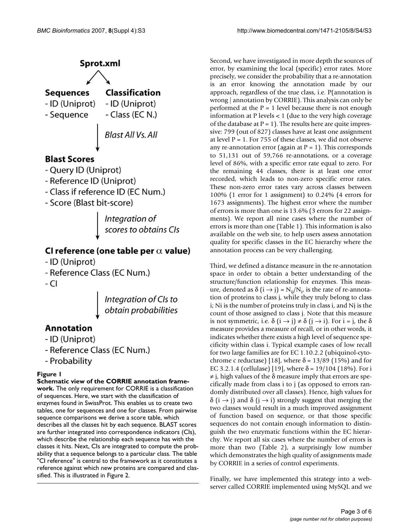

Integration of<br>scores to obtains CIs

# CI reference (one table per  $\alpha$  value)

- ID (Uniprot)
- Reference Class (EC Num.)
- CI



# Annotation

- ID (Uniprot)
- Reference Class (EC Num.)
- Probability

# Figure 1

# **Schematic view of the CORRIE annotation frame-**

**work.** The only requirement for CORRIE is a classification of sequences. Here, we start with the classification of enzymes found in SwissProt. This enables us to create two tables, one for sequences and one for classes. From pairwise sequence comparisons we derive a score table, which describes all the classes hit by each sequence. BLAST scores are further integrated into correspondence indicators (CIs), which describe the relationship each sequence has with the classes it hits. Next, CIs are integrated to compute the probability that a sequence belongs to a particular class. The table "CI reference" is central to the framework as it constitutes a reference against which new proteins are compared and classified. This is illustrated in Figure 2.

Second, we have investigated in more depth the sources of error, by examining the local (specific) error rates. More precisely, we consider the probability that a re-annotation is an error knowing the annotation made by our approach, regardless of the true class, i.e. P(annotation is wrong | annotation by CORRIE). This analysis can only be performed at the  $P = 1$  level because there is not enough information at P levels < 1 (due to the very high coverage of the database at  $P = 1$ ). The results here are quite impressive: 799 (out of 827) classes have at least one assignment at level  $P = 1$ . For 755 of these classes, we did not observe any re-annotation error (again at  $P = 1$ ). This corresponds to 51,131 out of 59,766 re-annotations, or a coverage level of 86%, with a specific error rate equal to zero. For the remaining 44 classes, there is at least one error recorded, which leads to non-zero specific error rates. These non-zero error rates vary across classes between 100% (1 error for 1 assignment) to 0.24% (4 errors for 1673 assignments). The highest error where the number of errors is more than one is 13.6% (3 errors for 22 assignments). We report all nine cases where the number of errors is more than one (Table 1). This information is also available on the web site, to help users assess annotation quality for specific classes in the EC hierarchy where the annotation process can be very challenging.

Third, we defined a distance measure in the re-annotation space in order to obtain a better understanding of the structure/function relationship for enzymes. This measure, denoted as  $\delta(i \rightarrow j) = N_{ij}/N_i$ , is the rate of re-annotation of proteins to class j, while they truly belong to class i; Ni is the number of proteins truly in class i, and Nj is the count of those assigned to class j. Note that this measure is not symmetric, i.e.  $\delta$   $(i \rightarrow j) \neq \delta$   $(j \rightarrow i)$ . For  $i = j$ , the  $\delta$ measure provides a measure of recall, or in other words, it indicates whether there exists a high level of sequence specificity within class i. Typical example cases of low recall for two large families are for EC 1.10.2.2 (ubiquinol-cytochrome c reductase) [18], where  $\delta$  = 13/89 (15%) and for EC 3.2.1.4 (cellulase) [19], where δ = 19/104 (18%). For i  $\neq$  j, high values of the  $\delta$  measure imply that errors are specifically made from class i to j (as opposed to errors randomly distributed over all classes). Hence, high values for  $δ$  (i  $\rightarrow$  j) and  $δ$  (j  $\rightarrow$  i) strongly suggest that merging the two classes would result in a much improved assignment of function based on sequence, or that those specific sequences do not contain enough information to distinguish the two enzymatic functions within the EC hierarchy. We report all six cases where the number of errors is more than two (Table 2), a surprisingly low number which demonstrates the high quality of assignments made by CORRIE in a series of control experiments.

Finally, we have implemented this strategy into a webserver called CORRIE implemented using MySQL and we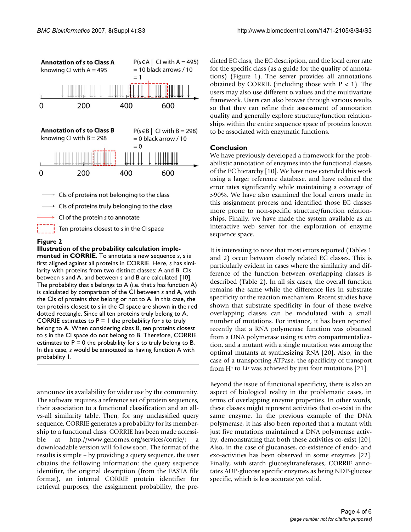

CI of the protein s to annotate

Ten proteins closest to s in the CI space

#### **Figure 2**

## **Illustration of the probability calculation implemented in CORRIE**. To annotate a new sequence *s*, *s* is first aligned against all proteins in CORRIE. Here, *s* has similarity with proteins from two distinct classes: A and B. CIs between *s* and A, and between *s* and B are calculated [10]. The probability that *s* belongs to A (i.e. that *s* has function A) is calculated by comparison of the CI between *s* and A, with the CIs of proteins that belong or not to A. In this case, the ten proteins closest to *s* in the CI space are shown in the red dotted rectangle. Since all ten proteins truly belong to A, CORRIE estimates to P = 1 the probability for *s* to truly belong to A. When considering class B, ten proteins closest to *s* in the CI space do not belong to B. Therefore, CORRIE estimates to P = 0 the probability for *s* to truly belong to B. In this case, *s* would be annotated as having function A with probability 1.

announce its availability for wider use by the community. The software requires a reference set of protein sequences, their association to a functional classification and an allvs-all similarity table. Then, for any unclassified query sequence, CORRIE generates a probability for its membership to a functional class. CORRIE has been made accessible at <http://www.genomes.org/services/corrie/>; a downloadable version will follow soon. The format of the results is simple – by providing a query sequence, the user obtains the following information: the query sequence identifier, the original description (from the FASTA file format), an internal CORRIE protein identifier for retrieval purposes, the assignment probability, the predicted EC class, the EC description, and the local error rate for the specific class (as a guide for the quality of annotations) (Figure 1). The server provides all annotations obtained by CORRIE (including those with  $P < 1$ ). The users may also use different  $\alpha$  values and the multivariate framework. Users can also browse through various results so that they can refine their assessment of annotation quality and generally explore structure/function relationships within the entire sequence space of proteins known to be associated with enzymatic functions.

## **Conclusion**

We have previously developed a framework for the probabilistic annotation of enzymes into the functional classes of the EC hierarchy [10]. We have now extended this work using a larger reference database, and have reduced the error rates significantly while maintaining a coverage of >90%. We have also examined the local errors made in this assignment process and identified those EC classes more prone to non-specific structure/function relationships. Finally, we have made the system available as an interactive web server for the exploration of enzyme sequence space.

It is interesting to note that most errors reported (Tables 1 and 2) occur between closely related EC classes. This is particularly evident in cases where the similarity and difference of the function between overlapping classes is described (Table 2). In all six cases, the overall function remains the same while the difference lies in substrate specificity or the reaction mechanism. Recent studies have shown that substrate specificity in four of these twelve overlapping classes can be modulated with a small number of mutations. For instance, it has been reported recently that a RNA polymerase function was obtained from a DNA polymerase using *in vitro* compartmentalization, and a mutant with a single mutation was among the optimal mutants at synthesizing RNA [20]. Also, in the case of a transporting ATPase, the specificity of transport from H+ to Li+ was achieved by just four mutations [21].

Beyond the issue of functional specificity, there is also an aspect of biological reality in the problematic cases, in terms of overlapping enzyme properties. In other words, these classes might represent activities that co-exist in the same enzyme. In the previous example of the DNA polymerase, it has also been reported that a mutant with just five mutations maintained a DNA polymerase activity, demonstrating that both these activities co-exist [20]. Also, in the case of glucanases, co-existence of endo- and exo-activities has been observed in some enzymes [22]. Finally, with starch glucosyltransferases, CORRIE annotates ADP-glucose specific enzymes as being NDP-glucose specific, which is less accurate yet valid.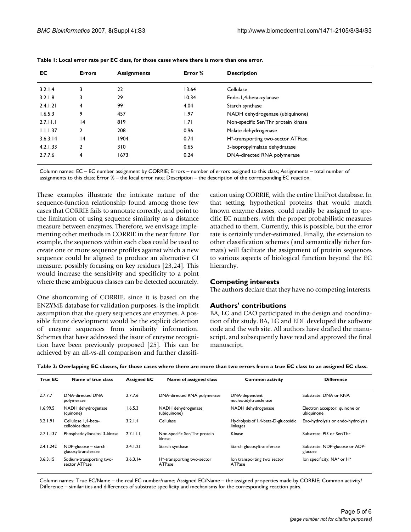| EC.      | <b>Errors</b> | <b>Assignments</b> | Error % | <b>Description</b>                             |
|----------|---------------|--------------------|---------|------------------------------------------------|
| 3.2.1.4  | 3             | 22                 | 13.64   | Cellulase                                      |
| 3.2.1.8  | 3             | 29                 | 10.34   | Endo-1,4-beta-xylanase                         |
| 2.4.1.21 | 4             | 99                 | 4.04    | Starch synthase                                |
| 1.6.5.3  | 9             | 457                | 1.97    | NADH dehydrogenase (ubiquinone)                |
| 2.7.11.1 | 4             | 819                | 1.71    | Non-specific Ser/Thr protein kinase            |
| 1.1.1.37 | $\mathcal{P}$ | 208                | 0.96    | Malate dehydrogenase                           |
| 3.6.3.14 | 4             | 1904               | 0.74    | H <sup>+</sup> -transporting two-sector ATPase |
| 4.2.1.33 | $\mathcal{P}$ | 310                | 0.65    | 3-isopropylmalate dehydratase                  |
| 2.7.7.6  | 4             | 1673               | 0.24    | DNA-directed RNA polymerase                    |

|  |  | Table 1: Local error rate per EC class, for those cases where there is more than one error. |  |
|--|--|---------------------------------------------------------------------------------------------|--|
|--|--|---------------------------------------------------------------------------------------------|--|

Column names: EC – EC number assignment by CORRIE; Errors – number of errors assigned to this class; Assignments – total number of assignments to this class; Error % – the local error rate; Description – the description of the corresponding EC reaction.

These examples illustrate the intricate nature of the sequence-function relationship found among those few cases that CORRIE fails to annotate correctly, and point to the limitation of using sequence similarity as a distance measure between enzymes. Therefore, we envisage implementing other methods in CORRIE in the near future. For example, the sequences within each class could be used to create one or more sequence profiles against which a new sequence could be aligned to produce an alternative CI measure, possibly focusing on key residues [23,24]. This would increase the sensitivity and specificity to a point where these ambiguous classes can be detected accurately.

One shortcoming of CORRIE, since it is based on the ENZYME database for validation purposes, is the implicit assumption that the query sequences are enzymes. A possible future development would be the explicit detection of enzyme sequences from similarity information. Schemes that have addressed the issue of enzyme recognition have been previously proposed [25]. This can be achieved by an all-vs-all comparison and further classification using CORRIE, with the entire UniProt database. In that setting, hypothetical proteins that would match known enzyme classes, could readily be assigned to specific EC numbers, with the proper probabilistic measures attached to them. Currently, this is possible, but the error rate is certainly under-estimated. Finally, the extension to other classification schemes (and semantically richer formats) will facilitate the assignment of protein sequences to various aspects of biological function beyond the EC hierarchy.

# **Competing interests**

The authors declare that they have no competing interests.

## **Authors' contributions**

BA, LG and CAO participated in the design and coordination of the study. BA, LG and EDL developed the software code and the web site. All authors have drafted the manuscript, and subsequently have read and approved the final manuscript.

**Table 2: Overlapping EC classes, for those cases where there are more than two errors from a true EC class to an assigned EC class.**

| True EC   | Name of true class                          | <b>Assigned EC</b> | Name of assigned class                                   | <b>Common activity</b>                          | <b>Difference</b>                                  |
|-----------|---------------------------------------------|--------------------|----------------------------------------------------------|-------------------------------------------------|----------------------------------------------------|
| 2.7.7.7   | <b>DNA-directed DNA</b><br>polymerase       | 2.7.7.6            | DNA-directed RNA polymerase                              | DNA-dependent<br>nucleotidyltransferase         | Substrate: DNA or RNA                              |
| 1.6.99.5  | NADH dehydrogenase<br>(quinone)             | 1.6.5.3            | NADH dehydrogenase<br>(ubiquinone)                       | NADH dehydrogenase                              | Electron acceptor: quinone or<br>ubiquinone        |
| 3.2.1.91  | Cellulose 1.4-beta-<br>cellobiosidase       | 3.2.1.4            | Cellulase                                                | Hydrolysis of 1,4-beta-D-glucosidic<br>linkages | Exo-hydrolysis or endo-hydrolysis                  |
| 2.7.1.137 | Phosphatidylinositol 3-kinase               | 2.7.11.1           | Non-specific Ser/Thr protein<br>kinase                   | Kinase                                          | Substrate: PI3 or Ser/Thr                          |
| 2.4.1.242 | NDP-glucose - starch<br>glucosyltransferase | 2.4.1.21           | Starch synthase                                          | Starch glucosyltransferase                      | Substrate: NDP-glucose or ADP-<br>glucose          |
| 3.6.3.15  | Sodium-transporting two-<br>sector ATPase   | 3.6.3.14           | H <sup>+</sup> -transporting two-sector<br><b>ATPase</b> | lon transporting two sector<br><b>ATPase</b>    | Ion specificity: NA <sup>+</sup> or H <sup>+</sup> |

Column names: True EC/Name – the real EC number/name; Assigned EC/Name – the assigned properties made by CORRIE; Common activity/ Difference – similarities and differences of substrate specificity and mechanisms for the corresponding reaction pairs.